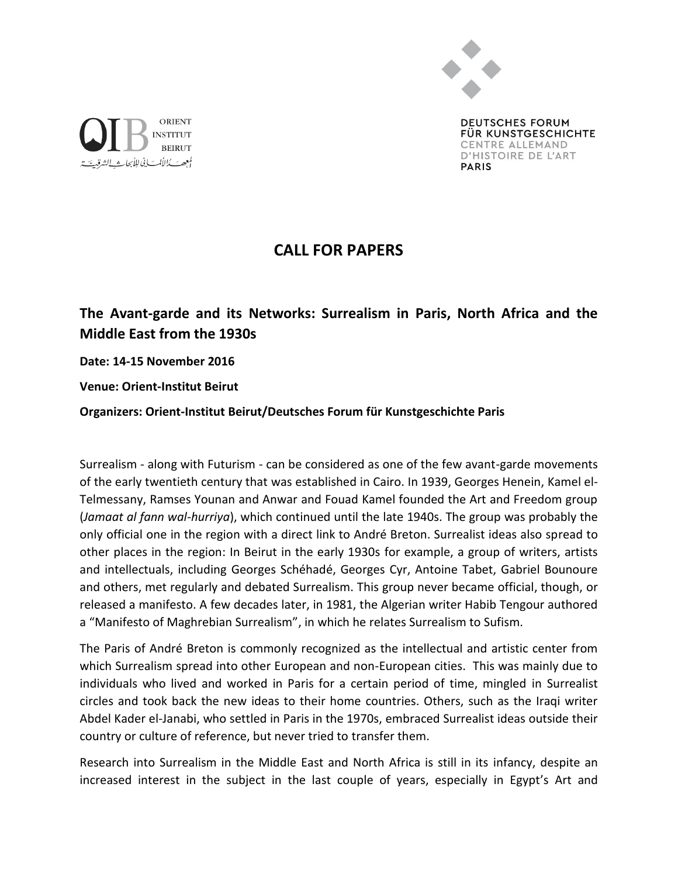

**DEUTSCHES FORUM** FÜR KUNSTGESCHICHTE CENTRE ALLEMAND D'HISTOIRE DE L'ART **PARIS** 



**The Avant-garde and its Networks: Surrealism in Paris, North Africa and the Middle East from the 1930s** 

**Date: 14-15 November 2016**

ORIENT

**BEIRUT** 

**INSTITUT** 

لمعجصت كالألب في لِلأبحاث لانشا

**Venue: Orient-Institut Beirut**

**Organizers: Orient-Institut Beirut/Deutsches Forum für Kunstgeschichte Paris**

Surrealism - along with Futurism - can be considered as one of the few avant-garde movements of the early twentieth century that was established in Cairo. In 1939, Georges Henein, Kamel el-Telmessany, Ramses Younan and Anwar and Fouad Kamel founded the Art and Freedom group (*Jamaat al fann wal-hurriya*), which continued until the late 1940s. The group was probably the only official one in the region with a direct link to André Breton. Surrealist ideas also spread to other places in the region: In Beirut in the early 1930s for example, a group of writers, artists and intellectuals, including Georges Schéhadé, Georges Cyr, Antoine Tabet, Gabriel Bounoure and others, met regularly and debated Surrealism. This group never became official, though, or released a manifesto. A few decades later, in 1981, the Algerian writer Habib Tengour authored a "Manifesto of Maghrebian Surrealism", in which he relates Surrealism to Sufism.

The Paris of André Breton is commonly recognized as the intellectual and artistic center from which Surrealism spread into other European and non-European cities. This was mainly due to individuals who lived and worked in Paris for a certain period of time, mingled in Surrealist circles and took back the new ideas to their home countries. Others, such as the Iraqi writer Abdel Kader el-Janabi, who settled in Paris in the 1970s, embraced Surrealist ideas outside their country or culture of reference, but never tried to transfer them.

Research into Surrealism in the Middle East and North Africa is still in its infancy, despite an increased interest in the subject in the last couple of years, especially in Egypt's Art and